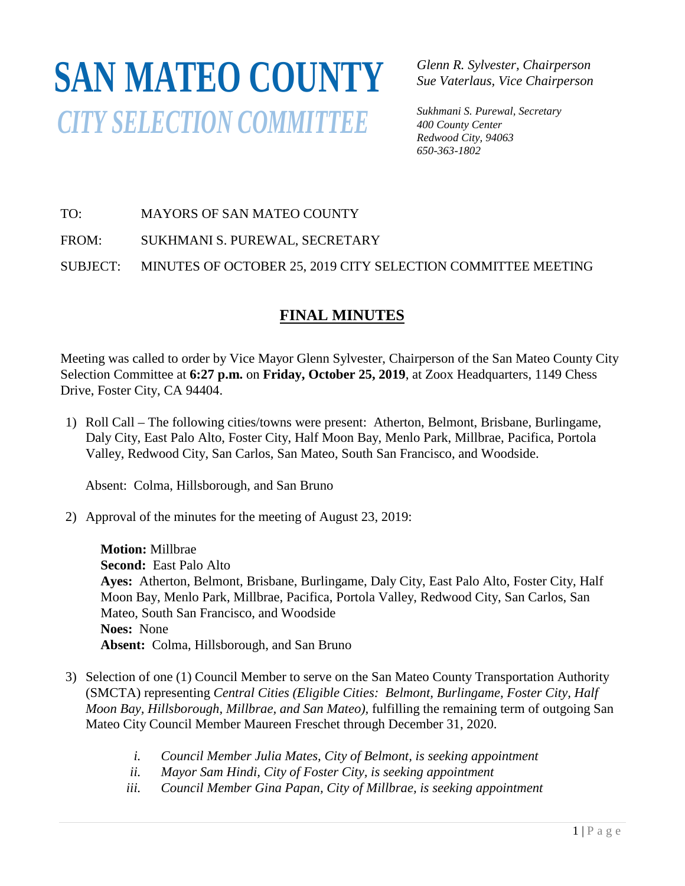# **SAN MATEO COUNTY***CITY SELECTION COMMITTEE*

*Glenn R. Sylvester, Chairperson Sue Vaterlaus, Vice Chairperson*

*Sukhmani S. Purewal, Secretary 400 County Center Redwood City, 94063 650-363-1802*

# TO: MAYORS OF SAN MATEO COUNTY

FROM: SUKHMANI S. PUREWAL, SECRETARY

SUBJECT: MINUTES OF OCTOBER 25, 2019 CITY SELECTION COMMITTEE MEETING

# **FINAL MINUTES**

Meeting was called to order by Vice Mayor Glenn Sylvester, Chairperson of the San Mateo County City Selection Committee at **6:27 p.m.** on **Friday, October 25, 2019**, at Zoox Headquarters, 1149 Chess Drive, Foster City, CA 94404.

1) Roll Call – The following cities/towns were present: Atherton, Belmont, Brisbane, Burlingame, Daly City, East Palo Alto, Foster City, Half Moon Bay, Menlo Park, Millbrae, Pacifica, Portola Valley, Redwood City, San Carlos, San Mateo, South San Francisco, and Woodside.

Absent: Colma, Hillsborough, and San Bruno

2) Approval of the minutes for the meeting of August 23, 2019:

**Motion:** Millbrae **Second:** East Palo Alto **Ayes:** Atherton, Belmont, Brisbane, Burlingame, Daly City, East Palo Alto, Foster City, Half Moon Bay, Menlo Park, Millbrae, Pacifica, Portola Valley, Redwood City, San Carlos, San Mateo, South San Francisco, and Woodside **Noes:** None **Absent:** Colma, Hillsborough, and San Bruno

- 3) Selection of one (1) Council Member to serve on the San Mateo County Transportation Authority (SMCTA) representing *Central Cities (Eligible Cities: Belmont, Burlingame, Foster City, Half Moon Bay, Hillsborough, Millbrae, and San Mateo),* fulfilling the remaining term of outgoing San Mateo City Council Member Maureen Freschet through December 31, 2020.
	- *i. Council Member Julia Mates, City of Belmont, is seeking appointment*
	- *ii. Mayor Sam Hindi, City of Foster City, is seeking appointment*
	- *iii. Council Member Gina Papan, City of Millbrae, is seeking appointment*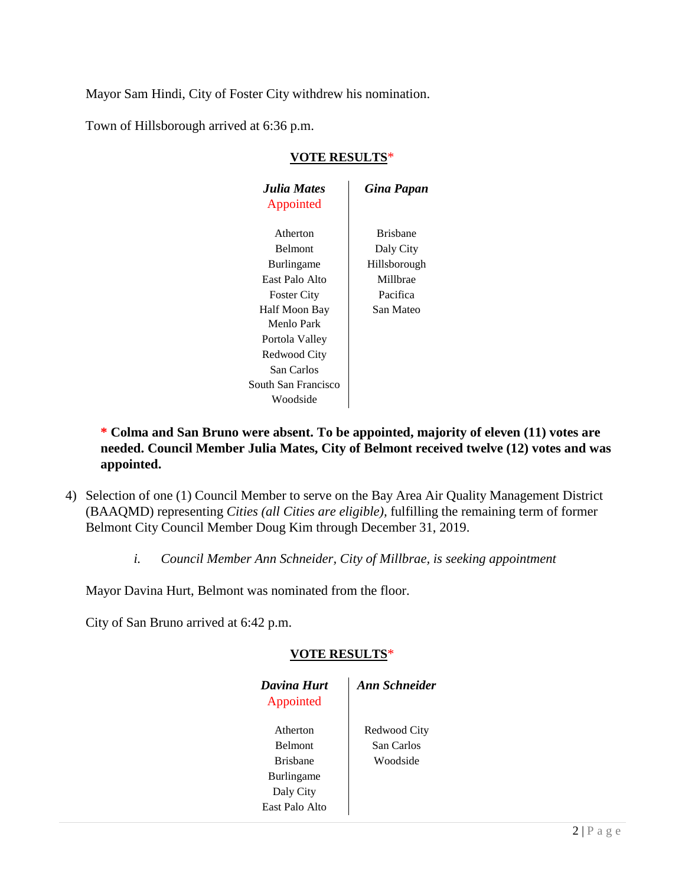Mayor Sam Hindi, City of Foster City withdrew his nomination.

Town of Hillsborough arrived at 6:36 p.m.

# *Julia Mates Gina Papan* Appointed Atherton Brisbane Belmont Daly City Burlingame | Hillsborough East Palo Alto Millbrae Foster City Pacifica Half Moon Bay San Mateo Menlo Park Portola Valley Redwood City San Carlos South San Francisco Woodside

#### **VOTE RESULTS**\*

## **\* Colma and San Bruno were absent. To be appointed, majority of eleven (11) votes are needed. Council Member Julia Mates, City of Belmont received twelve (12) votes and was appointed.**

- 4) Selection of one (1) Council Member to serve on the Bay Area Air Quality Management District (BAAQMD) representing *Cities (all Cities are eligible),* fulfilling the remaining term of former Belmont City Council Member Doug Kim through December 31, 2019.
	- *i. Council Member Ann Schneider, City of Millbrae, is seeking appointment*

Mayor Davina Hurt, Belmont was nominated from the floor.

City of San Bruno arrived at 6:42 p.m.

## **VOTE RESULTS**\*

| Davina Hurt<br>Appointed | <b>Ann Schneider</b> |
|--------------------------|----------------------|
| Atherton                 | Redwood City         |
| <b>Belmont</b>           | San Carlos           |
| <b>Brishane</b>          | Woodside             |
| <b>Burlingame</b>        |                      |
| Daly City                |                      |
| East Palo Alto           |                      |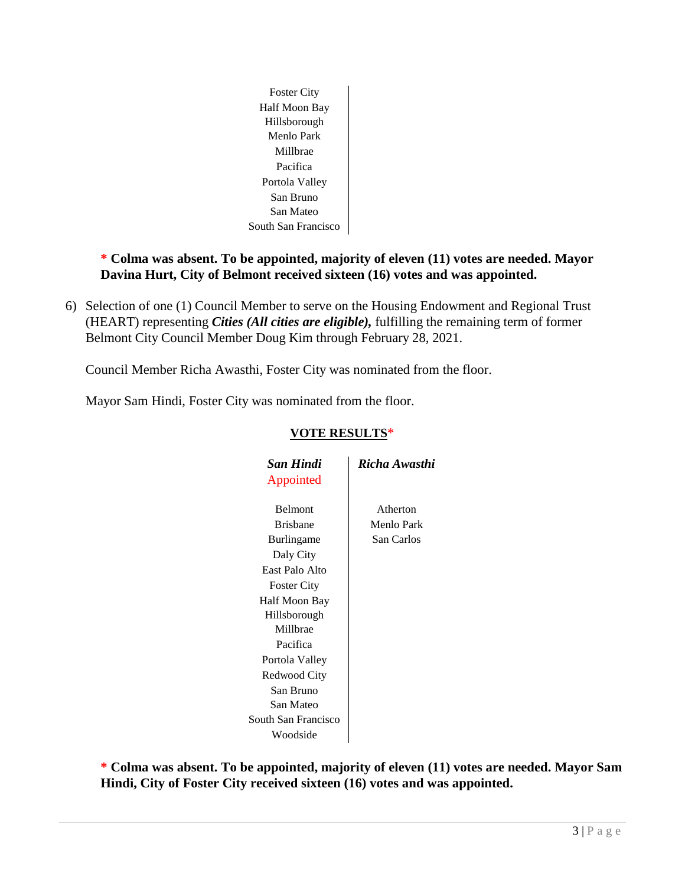

## **\* Colma was absent. To be appointed, majority of eleven (11) votes are needed. Mayor Davina Hurt, City of Belmont received sixteen (16) votes and was appointed.**

6) Selection of one (1) Council Member to serve on the Housing Endowment and Regional Trust (HEART) representing *Cities (All cities are eligible),* fulfilling the remaining term of former Belmont City Council Member Doug Kim through February 28, 2021.

Council Member Richa Awasthi, Foster City was nominated from the floor.

Mayor Sam Hindi, Foster City was nominated from the floor.

| <b>San Hindi</b>    | Richa Awasthi |  |
|---------------------|---------------|--|
| Appointed           |               |  |
|                     |               |  |
| <b>Belmont</b>      | Atherton      |  |
| <b>Brishane</b>     | Menlo Park    |  |
| Burlingame          | San Carlos    |  |
| Daly City           |               |  |
| East Palo Alto      |               |  |
| <b>Foster City</b>  |               |  |
| Half Moon Bay       |               |  |
| Hillsborough        |               |  |
| Millbrae            |               |  |
| Pacifica            |               |  |
| Portola Valley      |               |  |
| Redwood City        |               |  |
| San Bruno           |               |  |
| San Mateo           |               |  |
| South San Francisco |               |  |
| Woodside            |               |  |
|                     |               |  |

## **VOTE RESULTS**\*

**\* Colma was absent. To be appointed, majority of eleven (11) votes are needed. Mayor Sam Hindi, City of Foster City received sixteen (16) votes and was appointed.**